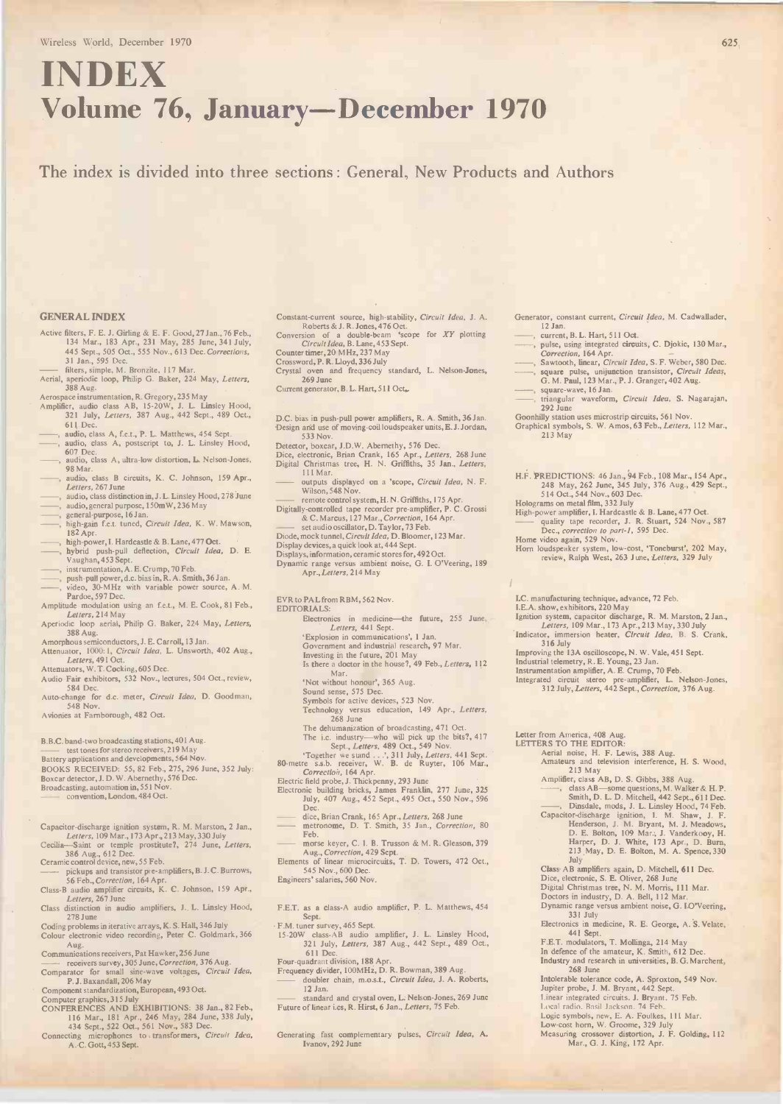# INDEX Volume 76, January-December 1970

The index is divided into three sections : General, New Products and Authors

### GENERAL INDEX

- Active filters, F. E. J. Girling & E. F. Good, 27 Jan., 76 Feb.,<br>134 Mar., 183 Apr., 231 May, 285 June, 341 July,<br>445 Sept., 505 Oct., 555 Nov., 613 Dec. Corrections, 31 Jan., 595 Dec.<br>—— filters, simple, M. Bronzite, 117 Mar.<br>Aerial, aperiodic loop, Philip G. Baker, 224 May, *Letters*,
- 

- 388 Aug.<br>Aerospace instrumentation, R. Gregory, 235 May<br>Amplifier, audio class AB, 15-20W, J. L. Linsley Hood,<br>321 July, *Letters*, 387 Aug., 442 Sept., 489 Oct.,
- 611 Dec. , audio, class A, f.e.t., P. L. Matthews, 454 Sept. audio, class A, postscript to, J. L. Linsley Hood,
- 607 Dec. audio, class A, ultra-low distortion, L. Nelson-Jones, 98 Mar.
- , audio, class B circuits, K. C. Johnson, 159 Apr., Letters, 267 June
- audio, class distinction in, J. L. Linsley Hood, 278 June
- , audio, general purpose, 150m W, 236 May , general-purpose, 16 Jan.
- high-gain f.e.t. tuned, Circuit Idea, K. W. Mawson, 182 Apr.
- 
- , high-power, I. Hardcastle & B. Lane, 477 Oct.<br>, hybrid push-pull deflection, *Circuit Idea*, D. E. Vaughan, 453 Sept. , instrumentation, A. E. Crump, 70 Feb. , push-pull power, d.c. bias in, R. A. Smith, 36 Jan. , video, 30 -MHz with variable power source, A. M.
- 

- Pardoe, 597 Dec. Amplitude modulation using an f.e.t., M. E. Cook, 81 Feb.,
- Letters, 214 May
- Aperiodic loop aerial, Philip G. Baker, 224 May, Letters, 388 Aug.
- Amorphous semiconductors, J. E. Carroll, 13 Jan.<br>Attenuator, 1000: 1, *Circuit Idea*, L. Unsworth, 402 Aug.,
- Letters, 491 Oct.<br>Attenuators, W. T. Cocking, 605 Dec. Audio Fair exhibitors, 532 Nov., lectures, 504 Oct., review,
- 584 Dec. Auto-change for d.c. meter, Circuit Idea, D. Goodman,

548 Nov. Avionies at Farnborough, 482 Oct.

B.B.C. band -two broadcasting stations, 401 Aug. - test tones for stereo receivers, 219 May

Battery applications and developments, 564 Nov. BOOKS RECEIVED: 55, 82 Feb., 275, 296 June, 352 July:<br>Boxcar detector, J. D. W. Abernethy, 576 Dec.<br>Broadcasting, automation in, 551 Nov.<br>- convention, London, 484 Oct.

Capacitor -discharge ignition system, R. M. Marston, 2 Jan., Letters, 109 Mar., 173 Apr., 213 May, 330 July

- Cecilia-Saint or temple prostitute?, 274 June, Letters, 386 Aug., 612 Dec. Ceramic control device, new, 55 Feb. pickups and transistor pre -amplifiers, B. J. C. Burrows,
- 
- 56 Feb., Correction, 164 Apr. Class -B audio amplifier circuits, K. C. Johnson, 159 Apr., Letters, 267 June
- Class distinction in audio amplifiers, J. L. Linsley Hood,
- 278 June<br>Coding problems in iterative arrays, K. S. Hall, 346 July F.M.<br>Colour electronic video recording, Peter C. Goldmark, 366 15-2 Aug.

Communications receivers, Pat Hawker, 256 June

- —— receivers survey, 305 June, Correction, 376 Aug.<br>Comparator for small sine-wave voltages, Circuit Idea,
- P. J. Baxandall, 206 May

- Component standardization, European, 493 Oct.<br>Computer graphics, 315 July<br>CONFER ENCES AND EXHIBITIONS: 38 Jan., 82 Feb.,<br>116 Mar., 181 Apr., 246 May, 284 June, 338 July,<br>434 Sept., 522 Oct., 561 Nov., 583 Dec.<br>Connecting
- A. C. Gott, 453 Sept.
- Constant-current source, high-stability, Circuit Idea, J. A.<br>Roberts & J. R. Jones, 476 Oct.
- Conversion of a double-beam 'scope for XY plotting  $Circuited$ , B. Lane, 453 Sept.<br>Counter timer, 20 MHz, 237 May
- Crossword, P. R. Lloyd, 336 July
- Crystal oven and frequency standard, L. Nelson -Jones, 269 June
- Current generator, B. L. Hart, 511 Oct.
- D.C. bias in push-pull power amplifiers, R. A. Smith, 36 Jan. -Design and use of moving -coil loudspeaker units, E. J. Jordan,
- 
- 533 Nov.<br>
Detector, boxcar, J.D.W. Abernethy, 576 Dec.<br>
Dice, electronic, Brian Crank, 165 Apr., *Letters*, 268 June<br>
Digital Christmas tree, H. N. Griffiths, 35 Jan., *Letters*,<br>
111 Mar.
- outputs displayed on a 'scope, *Circuit Idea*, N. F.<br>Wilson, 548 Nov.

memote control system, H. N. Griffiths, 175 Apr.<br>Digitally-controlled tape recorder pre-amplifier, P. C. Grossi<br>
& C. Marcus, 127 Mar., Correction, 164 Apr.<br>
as a adio oscillator, D. Taylor, 73 Feb.<br>Diode, mock tunnel, Cir

- 
- 
- Display devices, a quick look at, 444 Sept. Displays, information, ceramic stores for, 492 Oct.
- Dynamic range versus ambient noise, G. I. O'Veering, 189<br>Apr., Letters, 214 May

EVR to PAL from RBM, 562 Nov.

EDITORIALS:

- Electronics in medicine-the future, 255 June, Letters, 441 Sept.<br>
Explosion in communications', 1 Jan.
- 
- 
- Government and industrial research, 97 Mar.<br>Investing in the future, 201 May<br>Is there a doctor in the house?, 49 Feb., Letters, 112 Inc. Mar.
- `Not without honour', 365 Aug.
- 
- Sound sense, 575 Dec.<br>Symbols for active devices, 523 Nov.<br>Technology versus education, 149 Apr., *Letters*, 268 June
- The dehumanization of broadcasting, 471 Oct.

The i.c. industry—who will pick up the bits?, 417 Lett<br>
Sept., *Letters*, 489 Oct., 549 Nov.<br>
Together we stand ..., 311 July, *Letters*, 441 Sept.<br>
Together we stand ..., 311 July, *Letters*, 441 Sept.<br>
80-metre s.s.b. re

- 
- 
- Dec.<br>—— dice, Brian Crank, 165 Apr., *Letters*, 268 June<br>—— metronome, D. T. Smith, 35 Jan., *Correction*, 80 Feb.
- morse keyer, C. I. B. Trusson & M. R. Gleason, 379
- Aug., Correction, 429 Sept.<br>Elements of linear microcircuits, T. D. Towers, 472 Oct., 545 Nov., 600 Dec.
- Engineers' salaries, 560 Nov.
- F.E.T. as a class -A audio amplifier, P. L. Matthews, 454 Sept.
- F.M. tuner survey, 465 Sept. 15-20W class -AB audio amplifier, J. L. Linsley Hood,
- 321 July, Letters, 387 Aug., 442 Sept., 489 Oct., 611 Dec. Four -quadrant division, 188 Apr. Frequency divider, 100MHz, D. R. Bowman, 389 Aug.
- 
- doubler chain, m.o.s.L. Circuit Idea, J. A. Roberts, 12 Jan.
- standard and crystal oven, L. Nelson-Jones, 269 June<br>Future of linear i.cs, R. Hirst, 6 Jan., *Letters*, 75 Feb.

Generating fast complementary pulses, Circuit Idea, A. Ivanov, 292 June

- Generator, constant current, Circuit Idea, M. Cadwallader, 12 Jan. 12 Jan.<br>current, B. L. Hart, 511 Oct.
- pulse, using integrated circuits, C. Djokic, 130 Mar.,
- Correction, 164 Apr.<br>Sawtooth, linear, Circuit Idea, S. F. Weber, 580 Dec.<br>square pulse, unijunction transistor, Circuit Ideas,<br>G. M. Paul, 123 Mar., P. J. Granger, 402 Aug.
- square-wave, 16 Jan.
- triangular waveform, Circuit Idea, S. Nagarajan, 292 June
- 292 June<br>Goonhilly station uses microstrip circuits, 561 Nov.<br>Graphical symbols, S. W. Amos, 63 Feb., *Letters,* 112 Mar.,
- H.F. PREDICTIONS: 46 Jan., 94 Feb., 108 Mar., 154 Apr., 248 May, 262 June, 345 July, 376 Aug., 429 Sept., 514 Oct., 544 Nov., 603 Dec.
- 

213 May

- High-power amplifier, I. Hardcastle & B. Lane, 477 Oct.<br>
High-power amplifier, I. Hardcastle & B. Lane, 477 Oct.<br>
—— quality tape recorder, J. R. Stuart, 524 Nov., 587<br>
Dec., correction to part-1, 595 Dec.<br>
Home video agai
- 
- Horn loudspeaker system, low-cost, 'Toneburst', 202 May,<br>review, Ralph West, 263 June, Letters, 329 July
- I.C. manufacturing technique, advance, 72 Feb. I.E.A. show, exhibitors, 220 May
- 
- Ignition system, capacitor discharge, R. M. Marston, 2 Jan.,<br> *Letters*, 109 Mar., 173 Apr., 213 May, 330 July<br> **Ind**icator, immersion heater, *Circuit Idea*, B. S. Crank,<br>
316 July
- 

- 
- Improving the 13A oscilloscope, N. W. Vale, 451 Sept.<br>Industrial telemetry, R. E. Young, 23 Jan.<br>Instrumentation amplifier, A. E. Crump, 70 Feb.<br>Integrated circuit stereo pre-amplifier, L. Nelson-Jones,<br>312 July, Letters,

213 May<br>Amplifier, class AB, D. S. Gibbs, 388 Aug

Aerial noise, H. F. Lewis, 388 Aug. Amateurs and television interference, H. S. Wood,

Amplifier, class AB, D. S. Gibbs, 388 Aug. , class AB-some questions. M. Walker & H. P. Smith, D. L. D. Mitchell, 442 Sept., 611 Dec. , Dinsdale, mods, J. L. Linsley Hood, 74 Feb. Capacitor -discharge ignition, I. M. Shaw, J. F. Henderson, J. M. Bryant, M. J. Meadows,

Class AB amplifiers again, D. Mitchell, 611 Dec. Dice, electronic, S. E. Oliver, 268 June Digital Christmas tree, N. M. Morris, 111 Mar.<br>Doctors in industry, D. A. Bell, 112 Mar.<br>Dynamic range versus ambient noise, G. I.O'Veering,

Electronics in medicine, R. E. George, A. S. Velate, 441 Sept. F.E.T. modulators, T. Mollinga, 214 May In defence of the amateur, K. Smith, 612 Dec. Industry and research in universities, B. G. Marchent, 268 June

Mar., G. J. King, 172 Apr.

Intolerable tolerance code, A. Sproxton, 549 Nov.<br>Jupiter probe, J. M. Bryant, 442 Sept.<br>Linear integrated circuits. J. Bryant. 75 Feb.<br>Local radio. Basil Jackson. 74 Feb.<br>Logic symbols, new, E. A. Foulkes, 111 Mar.<br>Low-co

D. E. Bolton, 109 Mar., J. Vanderkooy, H.<br>Harper, D. J. White, 173 Apr., D. Burn,<br>213 May, D. E. Bolton, M. A. Spence, 330<br>July

Letter from America, 408 Aug. LETTERS TO THE EDITOR:

331 July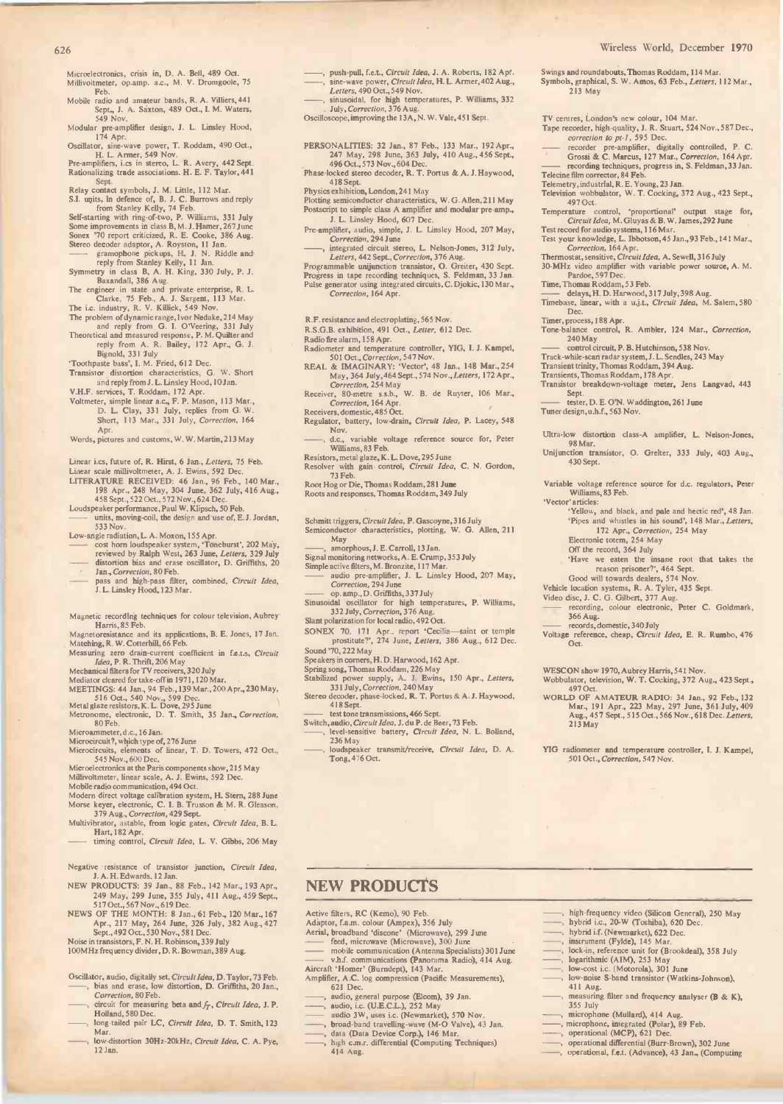- Microelectronics, crisis in, D. A. Bell, 489 Oct. Millivoltmeter, op.amp. a.c., M. V. Dromgoole, 75
- Feb.<br>Mobile radio and amateur bands, R. A. Villiers, 441<br>Sept., J. A. Saxton, 489 Oct., I. M. Waters,<br>549 Nov.
- 
- Modular pre-amplifier design, J. L. Linsley Hood,<br>174 Apr.<br>Oscillator, sine-wave power, T. Roddam, 490 Oct.,<br>H. L. Armer, 549 Nov.<br>Pre-amplifiers, i.cs in stereo, L. R. Avery, 442 Sept.
- Rationalizing trade associations. H. E. F. Taylor, 441
- Sept.<br>Relay contact symbols, J. M. Little, 112 Mar.<br>S.I. units, in defence of, B. J. C. Burrows and reply<br>from Stanley Kelly, 74 Feb.<br>Self-starting with ring-of-two, P. Williams, 331 July
- 
- Some improvements in class B, M. J. Hamer, 267 June<br>Somex "70 report criticized, R. E. Cooke, 386 Aug.<br>Stereo decoder adaptor, A. Royston, 11 Jan.<br>
"enginophone pickups, H. J. N. Riddle and<br>
reply from Stanley Kelly, 11 Ja
- 
- 
- 
- The problem of dynamic range, Ivor Nedake, 214 May<br>and reply from G. I. O'Veering, 331 July<br>Theoretical and measured response, P. M. Quilter and<br>reply from A. R. Bailey, 172 Apr., G. J.
- 
- 

Bignold, 331 July `Toothpaste bass', I. M. Fried, 612 Dec. Transistor distortion characteristics, G. W. Short and reply from J. L. Linsley Hood, 10Jan.

V.H.F. services, T. Roddam, 172 Apr. Voltmeter, simple linear a.c., F. P. Mason, 113 Mar., D. L. Clay, 331 July, replies from G.W.<br>Short, 113 Mar., 331 July, *Correction*, 164 Apr.

Words, pictures and customs, W. W. Martin, 213 May

- Linear i.cs, future of, R. Hirst, 6 Jan., Letters, 75 Feb.
- 
- Linear scale millivoltmeter, A. J. Ewins, 592 Dec.<br>LITERATURE RECEIVED: 46 Jan., 96 Feb., 140 Mar., 98 Apr., 248 May., 304 June, 362 July, 416 Aug.,<br>458 Sept., 522 Oct., 572 Nov., 624 Dec.<br>Loudspeaker performance, Paul W.
- units, moving-coil, the design and use of, E.J. Jordan, 533 Nov.

- 533 Nov.<br>
Low-angle radiation, L. A. Moxon, 155 Apr.<br>
angle radiation, L. A. Moxon, 155 Apr.<br>
cost horn loudspeaker system, 'Toneburst', 202 May,<br>
reviewed by Ralph West, 263 June, Letters, 329 July<br>
distortion bias and e
- pass and high-pass filter, combined, *Circuit Idea*,<br>J.L. Linsley Hood, 123 Mar.
- Magnetic recording techniques for colour television, Aubrey Harris, 85 Feb.
- Magnetoresistance and its applications, B. E. Jones, 17 Jan. Matching, R. W. Cotterhill, 66 Feb.
- Measuring zero drain-current coefficient in f.e.t.s, Circuit<br>Idea, P. R. Thrift, 206 May
- 
- 
- 
- Mechanical filters for TV receivers, 320 July<br>Mediator cleared for take-off in 1971, 120 Mar.<br>MEETINGS: 44 Jan., 94 Feb., 139 Mar., 200 Apr., 230 May,<br>516 Oct., 540 Nov., 599 Dec.<br>Metal glaze resistors, K. L. Dove, 295 Jun
- Microammeter, d.c., 16 Jan.

Microcircuit?, which type of, 276 June<br>Microcircuits, elements of linear, T. D. Towers, 472 Oct.,<br>545 Nov., 600 Dec.<br>Microelectronics at the Paris components show, 215 May

Millivoltmeter. linear scale, A. J. Ewins, 592 Dec. Mobile radio communication, 494 Oct.

- 
- Modern direct voltage calibration system, H. Stern, 288 June<br>Morse keyer, electronic, C. I. B. Trusson & M. R. Gleason,<br>379 Aug., Correction, 429 Sept.<br>Multivibrator, astable, from logic gates, Circuit Idea, B. L.<br>Hart, 18
- 
- 
- Negative resistance of transistor junction, Circuit Idea, J. A. H. Edwards, 12 Jan. NEW PRODUCTS: 39 Jan., 88 Feb., 142 Mar., 193 Apr.,
- 249 May, 299 June, 355 July, 411 Aug., 459 Sept.,<br>517 Oct., 567 Nov., 619 Dec.<br>NEWS OF THE MONTH: 8 Jan., 61 Feb., 120 Mar., 167 Act:
- Apr., 217 May, 264 June, 326 July, 382 Aug., 427 Add.<br>Sept., 492 Oct., 530 Nov., 581 Dec.<br>Noise in transistors, F. N. H. Robinson, 339 July

100MHz frequency divider, D. R. Bowman, 389 Aug.

- Oscillator, audio, digitally set, *Circuit Idea*, D. Taylor, 73 Feb.<br>——, bias and erase, low distortion, D. Griffiths, 20 Jan., Correction, 80 Feb.
- , circuit for measuring beta and  $f_T$ , Circuit Idea, J. P.<br>Holland, 580 Dec.
- long-tailed pair LC, Circult Idea, D. T. Smith, 123 Mar.
- low-distortion 30Hz-20kHz, Circuit Idea, C. A. Pye, 12 Jan.
- push-pull, f.e.t., Circuit Idea, J. A. Roberts, 182 Apr.<br>
sine-wave power, Circuit Idea, H. L. Armer, 402 Aug., Syn<br>
Letters, 490 Oct., 549 Nov.<br>
sinusoidal, for high temperatures, P. Williams, 332<br>
July, Correction, 376 A
- 

Oscilloscope, improving the 13A, N. W. Vale, 451 Sept.

- PERSONALITIES: 32 Jan., 87 Feb., 133 Mar., 192 Apr.,<br>247 May, 298 June, 363 July, 410 Aug., 456 Sept.,<br>496 Oct., 573 Nov., 604 Dec.<br>Phase-locked stereo decoder, R. T. Portus & A. J. Haywood,
- 
- 418 Sept. Physics exhibition, London, 241 May
- Plotting semiconductor characteristics, W. G. Allen, 211 May<br>Postscript to simple class A amplifier and modular pre-amp.,  $_{T}$ J. L. Linsley Hood, 607 Dec.
- Pre-amplifier, audio, simple, J. L. Linsley Hood, 207 May, Correction, 294 June , integrated circuit stereo, L. Nelson -Jones, 312 July,
- 
- Letters, 442 Sept., Correction, 376 Aug.<br>Programmable unijunction transistor, O. Greiter, 430 Sept.<br>Progress in tape recording techniques, S. Feldman, 33 Jan.<br>Pulse generator using integrated circuits, C. Djokic, 130 Mar., Correction, 164 Apr.
- R.F. resistance and electroplating, 565 Nov.
- R.S.G.B. exhibition, 491 Oct., Letter, 612 Dec.
- Radio fire alarm, 158 Apr.
- Radiometer and temperature controller, YIG, I. J. Kampel,<br>501 Oct., Correction, 547 Nov.<br>REAL & IMAGINARY: 'Vector', 48 Jan., 148 Mar., 254 Trai
- 
- May, 364 July, 464 Sept., 574 Nov., Letters, 172 Apr.,<br>Correction, 254 May<br>Receiver, 80-metre ss.b., W. B. de Ruyter, 106 Mar.,<br>Correction, 164 Apr.<br>Receivers, domestic, 485 Oct.
- Regulator, battery, low -drain, Circuit Idea, P. Lacey, 548
- Nov. , d.c., variable voltage reference source for, Peter Williams, 83 Feb.
- Resistors, metal glaze, K. L. Dove, 295 June Resolver with gain control, *Circuit Idea*, C. N. Gordon, 73 Feb.
- 
- 73 Feb.<br>Root Hog or Die, Thomas Roddam, 281 Ju**ne**<br>Roots and responses, Thomas Roddam, 349 July
- Schmitt triggers, *Circuit Idea*, P. Gascoyne, 316 July<br>Semiconductor characteristics, plotting, W. G. Allen, 211
- May , amorphous, J. E. Carroll, 13 Jan.
- Signal monitoring networks, A. E. Crump, 353 July
- 
- Simple active filters, M. Bronzite, 117 Mar. audio pre -amplifier, J. L. Linsley Hood, 207 May,
- Correction, 294 June<br>
op. amp., D. Griffiths, 337 July
- Sinusoidal oscillator for high temperatures, P. Williams,<br>332 July, Correction, 376 Aug.
- Slant polarization for local radio, 492 Oct.
- SONEX 70. 171 Apr.. report 'Cecilia—saint or temple prostitute?', 274 June, Letters, 386 Aug., 612 Dec. Volt Sound '70, 222 May
- 
- 
- 
- Speakers in corners, H. D. Harwood, 162 Apr.<br>Spring song, Thomas Roddam, 226 May<br>Stabilized power supply, A. J. Ewins, 150 Apr., *Letters,*<br>Stabilized power supply, A. J. Ewins, 150 Apr., *Letters,*<br>Stereo decoder, phase-l 418 Sept.
- 

NEW PRODUCTS

Active filters, RC (Kemo), 90 Feb.

- **Execution Class 15 Sept.**<br>Switch, audio, *Circult Idea*, J. du P. de Beer, 73 Feb.<br>——, level-sensitive battery, *Circuit Idea*, N. L. Bolland,
- 236 May<br>, loudspeaker transmit/receive, Circuit Idea, D. A. Tong, 476 Oct.

Adaptor, f.a.m. colour (Ampex), 356 July<br>Aerial, broadband 'discone' (Microwave), 299 June<br>
and the feed, microwave (Microwave), 300 June<br>
and the mobile communication (Antenna Specialists) 301 June<br>
and the munications (P

Aircraft 'Homer' (Bumdept), 143 Mar. Amplifier, A.C. log compression (Pacific Measurements), 621 Dec.

audio, general purpose (Elcom), 39 Jan. , audio, i.c. (U.E.C.L.), 252 May audio 3W, uses i.c. (Newmarket), 570 Nov. , broad band travelling -wave (M -O Valve), 43 Jan. data (Data Device Corp.), 146 Mar.

- Swings and roundabouts, Thomas Roddam, 114 Mar.<br>Symbols, graphical, S. W. Amos, 63 Feb., *Letters,* 112 Mar., 213 May
- 
- TV centres, London's new colour, 104 Mar.<br>Tape recorder, high-quality, J. R. Stuart, 524 Nov., 587 Dec.,<br>correction to pt-1, 595 Dec.
- 
- recorder pre-amplifier, digitally controlled, P. C.<br>Grossi & C. Marcus, 127 Mar., Correction, 164 Apr.<br>recording techniques, progress in, S. Feldman, 33 Jan.
- 

Telecine film corrector, 84 Feb.<br>Telemetry, industrial, R. E. Young, 23 Jan.<br>Television wobbulator, W. T. Cocking, 372 Aug., 423 Sept., 497 Oct.

- Temperature control, 'proportional' output stage for,<br>Circuit Idea, M. Giuyas & B. W. James, 292 June<br>Test record for audio systems, 116 Mar.
- Test your knowledge, L. Ibbotson, 45 Jan., 93 Feb., 141 Mar.,<br>Correction, 164 Apr.
- Thermostat, sensitive, C*trcuit Idea*, A. Sewell, 316 July<br>30-MHz video amplifier with variable power source, A. M.<br>Pardoe, 597 Dec.<br>Time, Thomas Roddam, 53 Feb.
- 

Sept.

Tuner design, u.h.f., 563 Nov.

98 Mar.

430 Sept.

213 May

411 Aug.

355 July

, data (Data Device Corp.), 146 Mar.<br>
high c.m.r. differential (Computing Techniques) (and the computional differential (Burr-Brown), 302 June 414 Aug. -, operational, f.e.t. (Advance), 43 Jan., (Computing

'Vector' articles:

Williams, 83 Feb.

—— delays, H. D. Harwood, 317 July, 398 Aug.<br>Timebase, linear, with a u.j.t., *Circuit Idea*, M. Salem, 580

240 May - control circuit, P. B. Hutchinson, 538 Nov. Track -while -scan radar system, J. L. Sendles, 243 May Transient trinity, Thomas Roddam, 394 Aug. Transients, Thomas Roddam, 178 Apr. Transistor breakdown -voltage meter, Jens Langvad, 443

tester, D. E. O'N. Waddington, 261 June

Ultra-low distortion class-A amplifier, L. Nelson-Jones,

Unijunction transistor, 0. Greiter, 333 July, 403 Aug.,

Variable voltage reference source for d.c. regulators, Peter

`Yellow, and black, and pale and hectic red', 48 Jan. Pipes and whistles in his sound', 148 Mar., *Letters*,<br>172 Apr., *Correction*, 254 May<br>Electronic totem, 254 May

Vehicle location systems, R. A. Tyler, 435 Sept. Video disc, J. C. G. Gilbert, 377 Aug. - recording, colour electronic, Peter C. Goldmark,

WESCON show 1970, Aubrey Harris, 541 Nov. Wobbulator, television, W. T. Cocking, 372 Aug., 423 Sept.,

YIG radiometer and temperature controller, I. J. Kampel,

(silicon General), 250 May<br>
(biggetter and the U.S. 20 Metallon Concerned), 250 May<br>
(by the U.S. (Newmarket), 622 Dec.<br>
(biggetter and Fylde), 145 Mar.<br>
(biggetter and Fylde), 145 Mar.<br>
(biggetter and Ford (Brookdeal), 35

, low-cost i.e. (Motorola), 301 June , low -noise S -band transistor (Watkins -Johnson),

measuring filter and frequency analyser (B & K),

, microphone (Mullard), 414 Aug. microphone, integrated (Polar), 89 Feb.

501 Oct., Correction, 547 Nov.

Voltage reference, cheap, *Circuit Idea*, E. R. Rumbo, 476 Oct.

497 Oct. WORLD OF AMATEUR RADIO: 34 Jan., 92 Feb., 132<br>WALD OF AMATEUR RADIO: 34 Jan., 92 Feb., 132<br>Mag., 457 Sept., 515 Oct., 566 Nov., 618 Dec. Letters,

366 Aug. - records, domestic, 340 July

`Have we eaten the insane root that takes the reason prisoner?', 464 Sept. Good will towards dealers, 574 Nov.

Dec.<br>Timer, process, 188 Apr.<br>Tone-balance control, R. Ambler, 124 Mar., *Correction*,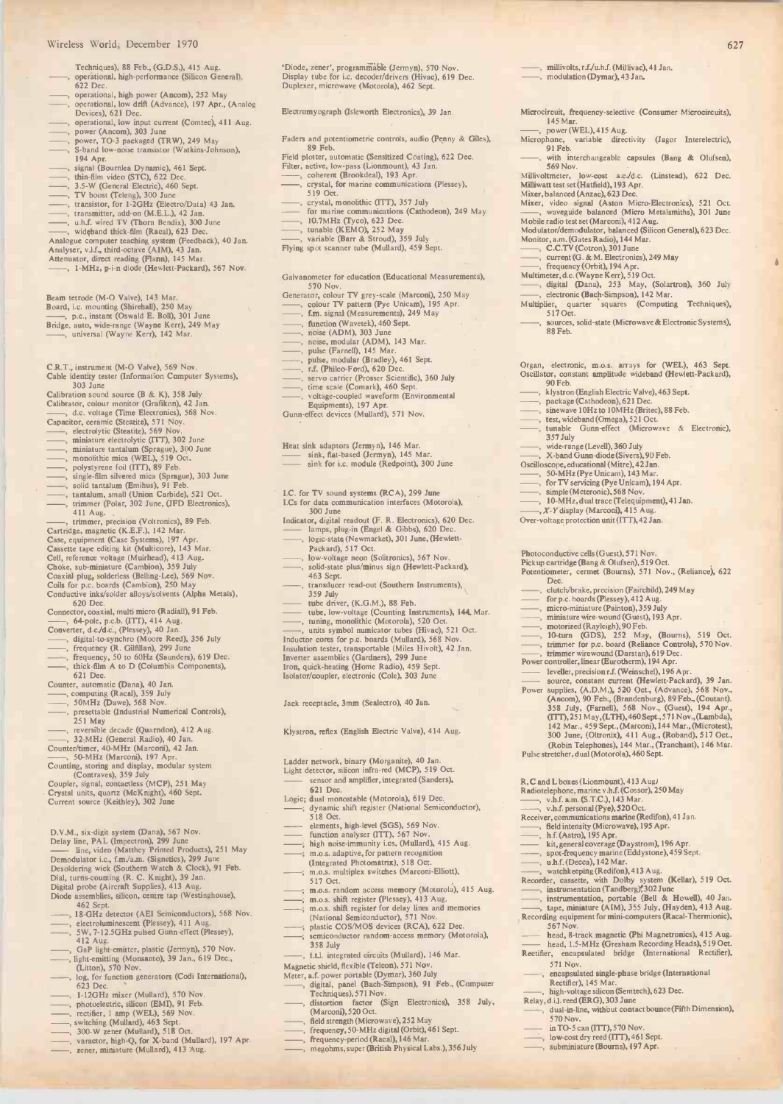### wireless World, December 1970 627

- Techniques), 88 Feb., (G.D.S.), 415 Aug. operational, high-performance (Silicon General), 622 Dec.
- operational, high power (Ancom), 252 May operational, low drift (Advance), 197 Apr., (Analog Devices), 621 Dec.
- 
- 
- operational, low input current (Comtec), 411 Aug.<br>power (Ancom), 303 June<br>power, TO-3 packaged (TRW), 249 May<br>S-band low-noise transistor (Watkins-Johnson),
- 
- 
- 
- 
- 
- 
- 
- 
- 194 Apr.<br>
I, signal (Bournlea Dynamic), 461 Sept.<br>
(min-film video (STC), 622 Dec.<br>
3.5-W (General Electric), 460 Sept.<br>
(min-film video (STC), 622 Dec.<br>
7 V boost (Teleng), 300 June<br>
7. transmitter, add-on (M.E.L.), 42 Ja
- 
- Beam tetrode (M-0 Valve), 143 Mar. Board, i.c. mounting (Shirehall), 250 May , p.c., instant (Oswald E. Boll), 301 June
- Bridge, auto, wide -range (Wayne Kerr), 249 May , universal (Wayne Kerr), 142 Mar.
- C.R.T., instrument (M -O Valve), 569 Nov. Cable identity tester (Information Computer Systems),
- 303 June<br>
Calibration sound source (B & K), 358 July<br>
Calibration sound source (G & K), 358 July<br>
Calibrator, cenamic (Steatite), 571 Nov.<br>
Capacitor, cenamic (Steatite), 559 Nov.<br>
(etcrolytic (Steatite), 569 Nov.<br>
(etcrol
- 
- 
- 
- 
- 
- 
- 
- 
- 
- 
- (iFD Electronics), the 41 Aug.<br>
(iTED Electronics), 411 Aug.<br>
(immer, precision (Voltronics), 89 Feb.<br>
Cartridge, magnetic (K.E.F.), 142 Mar.<br>
Case, equipment (Case Systems), 197 Apr.<br>
Cassette tape editing kit (Multicore)
- 
- 
- 
- 
- 
- 
- Connector, coaxial, multi micro (Radiall), 91 Feb.<br>
—, 64-pole, p.c.b. (ITT), 414 Aug.<br>
Converter, d.c./d.c., (Plessey), 40 Jan.<br>
—, digital-to-synchro (Moore Reed), 356 July<br>
—, frequency (R. Gifillan), 299 June<br>
—, frequ
- 
- 
- 621 Dec.<br>
Counter, automatic (Dana), 40 Jan.<br>
, computing (Racal), 359 July<br>
, 50MHz (Dawe), 568 Nov.<br>
, presettable (Industrial Numerical Controls),<br>
251 May
- 
- 
- 
- 
- ----, reversible decade (Quarndon), 412 Aug.<br>---, 32.MHz (General Radio), 40 Jan.<br>Counter/timer, 40.MHz (Marconi), 42 Jan.<br>----, 50-MHz (Marconi), 197 Apr.<br>Counting, storing and display, modular system<br>(Comtaves), 359 July
- 
- D.V.M., six-digit system (Dana), 567 Nov.<br>
Delay line, PAL (Impectron), 299 June<br>
 line, video (Matthey Printed Products), 251 May<br>
Demodulator i.c., f.m./a.m. (Signetics), 299 June<br>
Desoldering wick (Southern Watch & Clo
- 
- 
- 462 Sept. , 18-GHz detector (AEI Semiconductors), 568 Nov. , electroluminescent (Plessey), 411 Aug. , 5W, 7-12.5GHz pulsed Gunn -effect (Plessey),
- 
- 412 Aug. , GaP light -emitter, plastic (Jermyn), 570 Nov.
- light emitting (Monsanto), 39 Jan., 619 Dec.,<br>(Litton), 570 Nov.
- log, for function generators (Codi International), 623 Dec. 623 Dec.<br>
1-12GHz mixer (Mullard), 570 Nov.<br>
-, photoelectric, silicon (EMI), 91 Feb.<br>
-, rectifier, 1 amp (WEL), 569 Nov.<br>
-, switching (Mullard), 463 Sept.<br>
-, 300 W zener (Mullard), 518 Oct.<br>
-, varactor, high-Q, for X-
- 
- 
- 
- 
- 
- 

'Diode, zener', programmable (Jermyn), 570 Nov.<br>Display tube for i.c. decoder/drivers (Hivac), 619 Dec.<br>Duplexer, microwave (Motorola), 462 Sept.

, millivolts, r.f./u.h.f. (Millivac), 41 Jan. , modulation (Dymar), 43 Jan.

145 Mar. , power (WEL), 415 Aug.

Microcircuit, frequency-selective (Consumer Microcircuits), 145 Mar

www.community.community.community.community.community.community.community.community.community.community.com/

Microphone, variable directivity (Jagor Interelectric), 91 Feb. with interchangeable capsules (Bang & Olufsen), 569 Nov. Millivoltmeter, low-cost a.c./d.c. (Linstead), 622 Dec. Milliwatt test set (Hatfield), 193 Apr.

Mixer, balanced (Anzac), 623 Dec.<br>Mixer, video signal (Aston Micro-Electronics), 521 Oct.<br>—, waveguide balanced (Micro Metalsmiths), 301 June

Modulator/demodulator, balanced (Silicon General), 623 Dcc.<br>
Monitor, a.m. (Gates Radio), 144 Mar.<br>
C.C.TV (Cotron), 301 June<br>
C.C.TV (Cotron), 301 June<br>
(G. & M. Electronics), 249 May<br>
Theory (Orbit), 194 Apr.<br>
Multimeter

Organ, electronic, m.o.s. arrays for (WEL), 463 Sept. Oscillator, constant amplitude wideband (Hewlett-Packard), 90 Feb.

(Levell), 360 July<br>
--, W-band Gunn-diode (Sivers), 90 Feb.<br>
Oscilloscope, educational (Mitre), 42 Jan.<br>
--, 50-MHz (Pye Unicam), 143 Mar.<br>
--, for TV servicing (Pye Unicam), 194 Apr.<br>
--, simple (Meteronic), 568 Nov.<br>
--,

Dec.<br>clutch/brake, precision (Fairchild), 249 May

, X- Y display (Marconi), 415 Aug. Over -voltage protection unit (ITT), 42 Jan.

https://wittor.org/indeptedter/valve), 463 Sept.<br>
package (Cathodeon), 621 Dec.<br>
5. sinewave 10Hz to 10MHz (Britec), 88 Feb.<br>
1. test, wideband (Omega), 521 Oct.<br>
1. tunable Gunn -effect (Microwave & Electronic),<br>
357 July

Photoconductive cells (Guest), 571 Nov.<br>Pickup cartridge (Bang & Olufsen), 519 Oct.<br>Potentiometer, cermet (Bourns), 571 Nov., (Reliance), 622

(utch/brake, precision (Fairchild), 249 May<br>
for p.c. boards (Plessey), 412 Aug.<br>
miniature (Painton), 359 July<br>
miniature wire wound (Guest), 193 Apr.<br>
miniature wire wound (Guest), 193 Apr.<br>
motorized (Rayleigh), 90 Peb.

Source, constant current (Hewlett-Packard), 39 Jan.<br>
Power supplies, (A.D.M.), 520 Oct., (Advance), 568 Nov.,<br>
(Ancom), 90 Feb., (Brandenburg), 89 Feb., (Coutant).<br>
358 July, (Farnell), 568 Nov., (Guest), 194 Apr.,<br>
(ITT),

R, C and L boxes (Lionmount), 413 Aug/<br>
Radiolephone, marine v.h.f. (Cossor), 250 May<br>
Radiolephone, marine v.h.f. (Cossor), 250 May<br>
N.r. etc. (N.R. etc.), 143 Mar.<br>
Chelditensity (Microwave), 195 Apr.<br>
Receiver, communic

, tape, miniature (AIM), 355 July, (Hayden), 413 Aug. Recording equipment for mini -computers (Racal-Thermionic), 567 Nov.

head, 8 -track magnetic (Phi Magnetronics), 415 Aug. head, 1.5 -MHz (Gresham Recording Heads), 519 Oct. Rectifier, encapsulated bridge (International Rectifier),

(encapsulated single-phase bridge (International<br>Rectifier), 145 Mar.<br>, high-voltage silicon (Semtech), 623 Dec.<br>Relay, d.i.l. reed (ERG), 303 June<br>, dual-in-line, without contact bounce (Fifth Dimension),

570 Nov.<br>in TO-5 can (ITT), 570 Nov. ightharpoonup with the vector of the UTT, 461 Sept.<br>
ightharpoonup (Bourns), 197 Apr.

571 Nov.

Electromyograph (Isleworth Electronics), 39 Jan.

- Faders and potentiometric controls, audio (Penny & Giles), 89 Feb.
- 89 Feb.<br>
Field plotter, automatic (Sensitized Coating), 622 Dec.<br>
Filter, active, low-pass (Lionmount), 43 Jan.<br>
——, coherent (Brookdeal), 193 Apr.<br>
——, crystal, for marine communications (Plessey),
- 
- 
- 
- 
- 519 Oct. (State ITT), 357 July<br>
 crystal, monolithic (ITT), 357 July<br>
 for marine communications (Cathodeon), 249 May<br>
 10.7MHz (Tyco), 623 Dec.<br>
 unable (KEMO), 252 May<br>
 wariable (Barr & Stroud), 359 July<br>
Flying sp
- 
- 
- 
- Galvanometer for education (Educational Measurements),
- 570 Nov.<br>Generator, colour TV grey-scale (Marconi), 250 May<br>
—, colour TV pattern (Pye Unicam), 195 Apr.<br>
—, f.m. signal (Measurements), 249 May<br>
—, function (Wavetek), 460 Sept.
- 
- 
- 
- 
- 
- , noise (ADM), 303 June , noise, modular (ADM), 143 Mar. , pulse (Farnell), 145 Mar. , pulse, modular (Bradley), 461 Sept. , r.f. (Philco-Ford), 620 Dec.
- 
- , servo carrier (Prosser Scientific), 360 July , time scale (Comark), 460 Sept.
- , voltage -coupled waveform (Environmental Equipments), 197 Apr. Gunn -effect devices (Mullard), 571 Nov.
- 

Heat sink adaptors (Jermyn), 146 Mar. sink, flat -based (Jermyn), 145 Mar.

- sink for i.c. module (Redpoint), 300 June
- 
- I.C. for TV sound systems (RCA), 299 June I.Cs for data communication interfaces (Motorola), 300 June
- 
- Indicator, digital readout (F. R. Electronics), 620 Dec. lamps, plug-in (Engel & Gibbs), 620 Dec.
- , logic state (Newmarket), 301 June, (Hewlett-Packard), 517 Oct. , low -voltage neon (Solitronics), 567 Nov.
- , solid-state plus/minus sign (Hewlett-Packard), 463 Sept.
- , transducer read-out (Southern Instruments), 359 July
- 
- tube driver, (K.G.M.), 88 Feb.<br>
into the low-voltage (Counting Instruments), 144. Mar.<br>
..., tuning, monolithic (Motorola), 520 Oct.<br>
..., units symbol numicator tubes (Hivac), 521 Oct.<br>
Inductor cores for p.c. boards (Mul
- 

Insulation tester, transportable (Miles Hivolt), 42 Jan. Inverter assemblies (Gardners), 299 June

Klystron, reflex (English Electric Valve), 414 Aug.

Ladder network, binary (Morganite), 40 Jan. Light detector, silicon infra -red (MCP), 519 Oct. sensor and amplifier, integrated (Sanders),

Logic; dual monostable (Motorola), 619 Dec. ; dynamic shift register (National Semiconductor), 518 Oct.

elements, high-level (SGS), 569 Nov.<br>function analyser (ITT), 567 Nov.<br>high noise-immunity i.cs. (Mullard), 415 Aug.<br>m.o.s. adaptive, for pattern recognition

(Integrated Photomatrix), 518 Oct. m.o.s. multiplex switches (Marconi -Elliott), 517 Oct.

t.t.l. integrated circuits (Mullard), 146 Mar.

m.o.s. random access memory (Motorola), 415 Aug.<br>m.o.s. shift register (Plessey), 413 Aug.<br>m.o.s. shift register for delay lines and memories<br>(National Semiconductor), 571 Nov.<br>plastic COS/MOS devices (RCA), 622 Dec.<br>semic

Magnetic shield, flexible (Telcon), 571 Nov.<br>
Meter, a.f. power portable (Dymar), 360 July<br>
(Meter, a.f. porte), digital, panel (Bach-Simpson), 91 Feb., (Computer<br>
Techniques), 571 Nov.<br>
(Marconi), 520 Oct.<br>
(Marconi), 520

, frequency, 50 -MHz digital (Orbit), 461 Sept. , frequency -period (Racal), 146 Mar. , megohms, super (British Physical Labs.), 356 July

Iron, quick -heating (Home Radio), 459 Sept. Isolator/coupler, electronic (Cole), 303 June

Jack receptacle, 3mm (Sealectro), 40 Jan.

621 Dec.